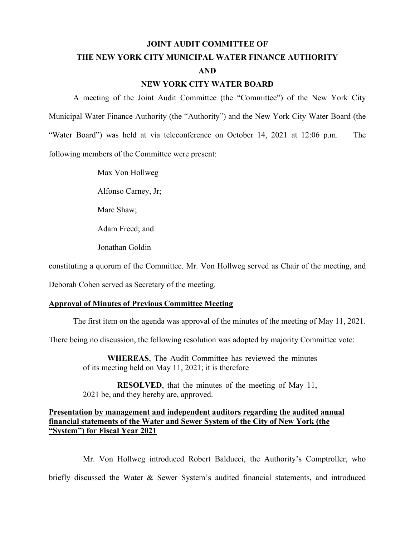#### **JOINT AUDIT COMMITTEE OF**

# **THE NEW YORK CITY MUNICIPAL WATER FINANCE AUTHORITY AND**

#### **NEW YORK CITY WATER BOARD**

A meeting of the Joint Audit Committee (the "Committee") of the New York City Municipal Water Finance Authority (the "Authority") and the New York City Water Board (the "Water Board") was held at via teleconference on October 14, 2021 at 12:06 p.m. The following members of the Committee were present:

Max Von Hollweg

Alfonso Carney, Jr;

Marc Shaw;

Adam Freed; and

Jonathan Goldin

constituting a quorum of the Committee. Mr. Von Hollweg served as Chair of the meeting, and

Deborah Cohen served as Secretary of the meeting.

#### **Approval of Minutes of Previous Committee Meeting**

The first item on the agenda was approval of the minutes of the meeting of May 11, 2021.

There being no discussion, the following resolution was adopted by majority Committee vote:

**WHEREAS**, The Audit Committee has reviewed the minutes of its meeting held on May 11, 2021; it is therefore

**RESOLVED**, that the minutes of the meeting of May 11, 2021 be, and they hereby are, approved.

#### **Presentation by management and independent auditors regarding the audited annual financial statements of the Water and Sewer System of the City of New York (the "System") for Fiscal Year 2021**

Mr. Von Hollweg introduced Robert Balducci, the Authority's Comptroller, who briefly discussed the Water & Sewer System's audited financial statements, and introduced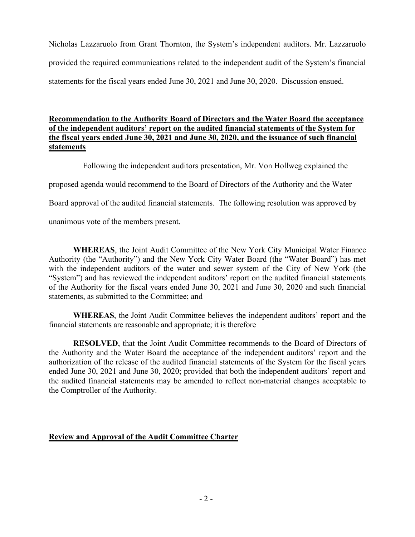Nicholas Lazzaruolo from Grant Thornton, the System's independent auditors. Mr. Lazzaruolo provided the required communications related to the independent audit of the System's financial statements for the fiscal years ended June 30, 2021 and June 30, 2020. Discussion ensued.

## **Recommendation to the Authority Board of Directors and the Water Board the acceptance of the independent auditors' report on the audited financial statements of the System for the fiscal years ended June 30, 2021 and June 30, 2020, and the issuance of such financial statements**

Following the independent auditors presentation, Mr. Von Hollweg explained the

proposed agenda would recommend to the Board of Directors of the Authority and the Water

Board approval of the audited financial statements. The following resolution was approved by

unanimous vote of the members present.

**WHEREAS**, the Joint Audit Committee of the New York City Municipal Water Finance Authority (the "Authority") and the New York City Water Board (the "Water Board") has met with the independent auditors of the water and sewer system of the City of New York (the "System") and has reviewed the independent auditors' report on the audited financial statements of the Authority for the fiscal years ended June 30, 2021 and June 30, 2020 and such financial statements, as submitted to the Committee; and

**WHEREAS**, the Joint Audit Committee believes the independent auditors' report and the financial statements are reasonable and appropriate; it is therefore

**RESOLVED**, that the Joint Audit Committee recommends to the Board of Directors of the Authority and the Water Board the acceptance of the independent auditors' report and the authorization of the release of the audited financial statements of the System for the fiscal years ended June 30, 2021 and June 30, 2020; provided that both the independent auditors' report and the audited financial statements may be amended to reflect non-material changes acceptable to the Comptroller of the Authority.

## **Review and Approval of the Audit Committee Charter**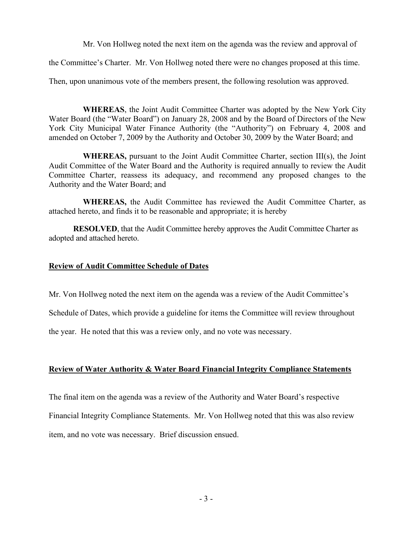Mr. Von Hollweg noted the next item on the agenda was the review and approval of

the Committee's Charter. Mr. Von Hollweg noted there were no changes proposed at this time.

Then, upon unanimous vote of the members present, the following resolution was approved.

**WHEREAS**, the Joint Audit Committee Charter was adopted by the New York City Water Board (the "Water Board") on January 28, 2008 and by the Board of Directors of the New York City Municipal Water Finance Authority (the "Authority") on February 4, 2008 and amended on October 7, 2009 by the Authority and October 30, 2009 by the Water Board; and

**WHEREAS,** pursuant to the Joint Audit Committee Charter, section III(s), the Joint Audit Committee of the Water Board and the Authority is required annually to review the Audit Committee Charter, reassess its adequacy, and recommend any proposed changes to the Authority and the Water Board; and

**WHEREAS,** the Audit Committee has reviewed the Audit Committee Charter, as attached hereto, and finds it to be reasonable and appropriate; it is hereby

**RESOLVED**, that the Audit Committee hereby approves the Audit Committee Charter as adopted and attached hereto.

### **Review of Audit Committee Schedule of Dates**

Mr. Von Hollweg noted the next item on the agenda was a review of the Audit Committee's

Schedule of Dates, which provide a guideline for items the Committee will review throughout

the year. He noted that this was a review only, and no vote was necessary.

## **Review of Water Authority & Water Board Financial Integrity Compliance Statements**

The final item on the agenda was a review of the Authority and Water Board's respective Financial Integrity Compliance Statements. Mr. Von Hollweg noted that this was also review item, and no vote was necessary. Brief discussion ensued.